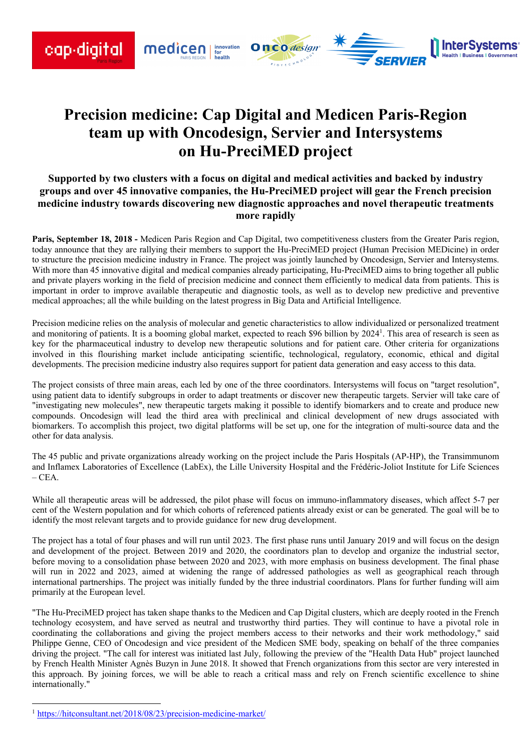

# **Precision medicine: Cap Digital and Medicen Paris-Region team up with Oncodesign, Servier and Intersystems on Hu-PreciMED project**

# **Supported by two clusters with a focus on digital and medical activities and backed by industry groups and over 45 innovative companies, the Hu-PreciMED project will gear the French precision medicine industry towards discovering new diagnostic approaches and novel therapeutic treatments more rapidly**

**Paris, September 18, 2018 -** Medicen Paris Region and Cap Digital, two competitiveness clusters from the Greater Paris region, today announce that they are rallying their members to support the Hu-PreciMED project (Human Precision MEDicine) in order to structure the precision medicine industry in France. The project was jointly launched by Oncodesign, Servier and Intersystems. With more than 45 innovative digital and medical companies already participating, Hu-PreciMED aims to bring together all public and private players working in the field of precision medicine and connect them efficiently to medical data from patients. This is important in order to improve available therapeutic and diagnostic tools, as well as to develop new predictive and preventive medical approaches; all the while building on the latest progress in Big Data and Artificial Intelligence.

Precision medicine relies on the analysis of molecular and genetic characteristics to allow individualized or personalized treatment and monitoring of patients. It is a booming global market, expected to reach \$96 billion by 2024<sup>1</sup>. This area of research is seen as key for the pharmaceutical industry to develop new therapeutic solutions and for patient care. Other criteria for organizations involved in this flourishing market include anticipating scientific, technological, regulatory, economic, ethical and digital developments. The precision medicine industry also requires support for patient data generation and easy access to this data.

The project consists of three main areas, each led by one of the three coordinators. Intersystems will focus on "target resolution", using patient data to identify subgroups in order to adapt treatments or discover new therapeutic targets. Servier will take care of "investigating new molecules", new therapeutic targets making it possible to identify biomarkers and to create and produce new compounds. Oncodesign will lead the third area with preclinical and clinical development of new drugs associated with biomarkers. To accomplish this project, two digital platforms will be set up, one for the integration of multi-source data and the other for data analysis.

The 45 public and private organizations already working on the project include the Paris Hospitals (AP-HP), the Transimmunom and Inflamex Laboratories of Excellence (LabEx), the Lille University Hospital and the Frédéric-Joliot Institute for Life Sciences  $-CEA$ .

While all therapeutic areas will be addressed, the pilot phase will focus on immuno-inflammatory diseases, which affect 5-7 per cent of the Western population and for which cohorts of referenced patients already exist or can be generated. The goal will be to identify the most relevant targets and to provide guidance for new drug development.

The project has a total of four phases and will run until 2023. The first phase runs until January 2019 and will focus on the design and development of the project. Between 2019 and 2020, the coordinators plan to develop and organize the industrial sector, before moving to a consolidation phase between 2020 and 2023, with more emphasis on business development. The final phase will run in 2022 and 2023, aimed at widening the range of addressed pathologies as well as geographical reach through international partnerships. The project was initially funded by the three industrial coordinators. Plans for further funding will aim primarily at the European level.

"The Hu-PreciMED project has taken shape thanks to the Medicen and Cap Digital clusters, which are deeply rooted in the French technology ecosystem, and have served as neutral and trustworthy third parties. They will continue to have a pivotal role in coordinating the collaborations and giving the project members access to their networks and their work methodology," said Philippe Genne, CEO of Oncodesign and vice president of the Medicen SME body, speaking on behalf of the three companies driving the project. "The call for interest was initiated last July, following the preview of the "Health Data Hub" project launched by French Health Minister Agnès Buzyn in June 2018. It showed that French organizations from this sector are very interested in this approach. By joining forces, we will be able to reach a critical mass and rely on French scientific excellence to shine internationally."

 <sup>1</sup> https://hitconsultant.net/2018/08/23/precision-medicine-market/